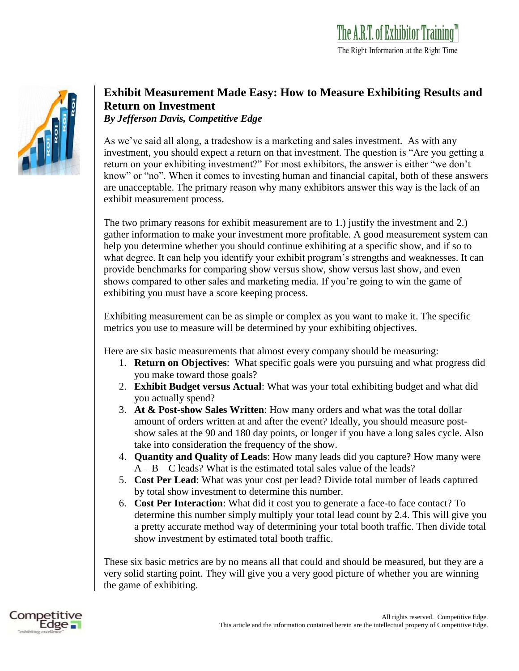

## **Exhibit Measurement Made Easy: How to Measure Exhibiting Results and Return on Investment**

*By Jefferson Davis, Competitive Edge*

As we've said all along, a tradeshow is a marketing and sales investment. As with any investment, you should expect a return on that investment. The question is "Are you getting a return on your exhibiting investment?" For most exhibitors, the answer is either "we don't know" or "no". When it comes to investing human and financial capital, both of these answers are unacceptable. The primary reason why many exhibitors answer this way is the lack of an exhibit measurement process.

The two primary reasons for exhibit measurement are to 1.) justify the investment and 2.) gather information to make your investment more profitable. A good measurement system can help you determine whether you should continue exhibiting at a specific show, and if so to what degree. It can help you identify your exhibit program's strengths and weaknesses. It can provide benchmarks for comparing show versus show, show versus last show, and even shows compared to other sales and marketing media. If you're going to win the game of exhibiting you must have a score keeping process.

Exhibiting measurement can be as simple or complex as you want to make it. The specific metrics you use to measure will be determined by your exhibiting objectives.

Here are six basic measurements that almost every company should be measuring:

- 1. **Return on Objectives**: What specific goals were you pursuing and what progress did you make toward those goals?
- 2. **Exhibit Budget versus Actual**: What was your total exhibiting budget and what did you actually spend?
- 3. **At & Post-show Sales Written**: How many orders and what was the total dollar amount of orders written at and after the event? Ideally, you should measure postshow sales at the 90 and 180 day points, or longer if you have a long sales cycle. Also take into consideration the frequency of the show.
- 4. **Quantity and Quality of Leads**: How many leads did you capture? How many were  $A - B - C$  leads? What is the estimated total sales value of the leads?
- 5. **Cost Per Lead**: What was your cost per lead? Divide total number of leads captured by total show investment to determine this number.
- 6. **Cost Per Interaction**: What did it cost you to generate a face-to face contact? To determine this number simply multiply your total lead count by 2.4. This will give you a pretty accurate method way of determining your total booth traffic. Then divide total show investment by estimated total booth traffic.

These six basic metrics are by no means all that could and should be measured, but they are a very solid starting point. They will give you a very good picture of whether you are winning the game of exhibiting.